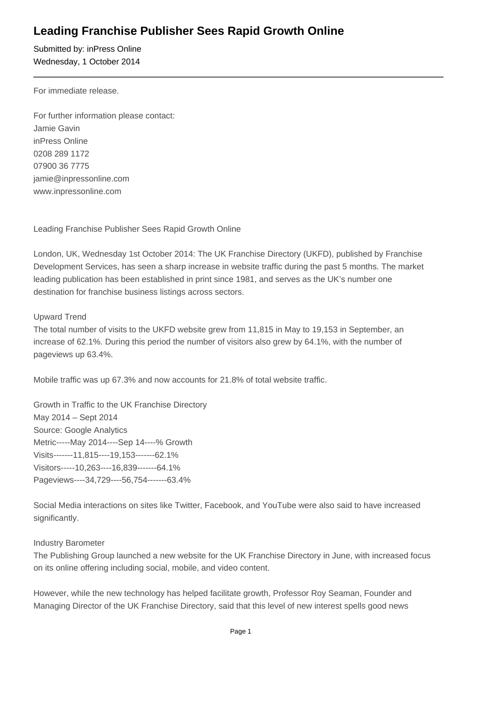## **Leading Franchise Publisher Sees Rapid Growth Online**

Submitted by: inPress Online Wednesday, 1 October 2014

For immediate release.

For further information please contact: Jamie Gavin inPress Online 0208 289 1172 07900 36 7775 jamie@inpressonline.com www.inpressonline.com

Leading Franchise Publisher Sees Rapid Growth Online

London, UK, Wednesday 1st October 2014: The UK Franchise Directory (UKFD), published by Franchise Development Services, has seen a sharp increase in website traffic during the past 5 months. The market leading publication has been established in print since 1981, and serves as the UK's number one destination for franchise business listings across sectors.

## Upward Trend

The total number of visits to the UKFD website grew from 11,815 in May to 19,153 in September, an increase of 62.1%. During this period the number of visitors also grew by 64.1%, with the number of pageviews up 63.4%.

Mobile traffic was up 67.3% and now accounts for 21.8% of total website traffic.

Growth in Traffic to the UK Franchise Directory May 2014 – Sept 2014 Source: Google Analytics Metric-----May 2014----Sep 14----% Growth Visits-------11,815----19,153-------62.1% Visitors-----10,263----16,839-------64.1% Pageviews----34,729----56,754-------63.4%

Social Media interactions on sites like Twitter, Facebook, and YouTube were also said to have increased significantly.

## Industry Barometer

The Publishing Group launched a new website for the UK Franchise Directory in June, with increased focus on its online offering including social, mobile, and video content.

However, while the new technology has helped facilitate growth, Professor Roy Seaman, Founder and Managing Director of the UK Franchise Directory, said that this level of new interest spells good news